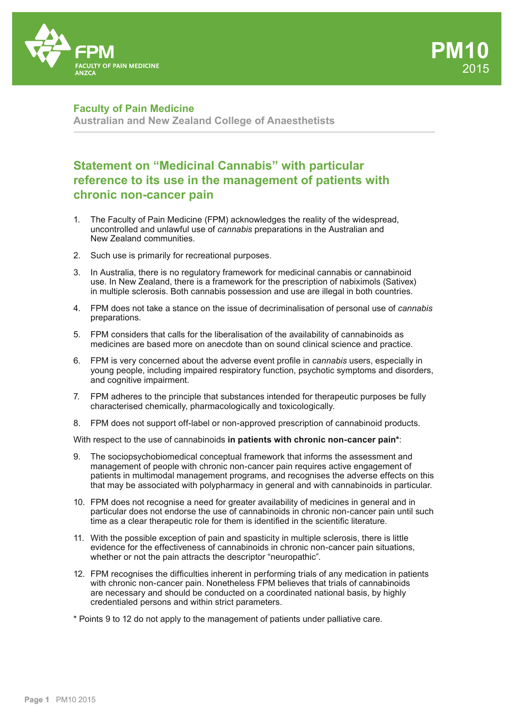

## **Faculty of Pain Medicine**

**Australian and New Zealand College of Anaesthetists**

# **Statement on "Medicinal Cannabis" with particular reference to its use in the management of patients with chronic non-cancer pain**

- 1. The Faculty of Pain Medicine (FPM) acknowledges the reality of the widespread, uncontrolled and unlawful use of *cannabis* preparations in the Australian and New Zealand communities.
- 2. Such use is primarily for recreational purposes.
- 3. In Australia, there is no regulatory framework for medicinal cannabis or cannabinoid use. In New Zealand, there is a framework for the prescription of nabiximols (Sativex) in multiple sclerosis. Both cannabis possession and use are illegal in both countries.
- 4. FPM does not take a stance on the issue of decriminalisation of personal use of *cannabis* preparations.
- 5. FPM considers that calls for the liberalisation of the availability of cannabinoids as medicines are based more on anecdote than on sound clinical science and practice.
- 6. FPM is very concerned about the adverse event profile in *cannabis* users, especially in young people, including impaired respiratory function, psychotic symptoms and disorders, and cognitive impairment.
- 7. FPM adheres to the principle that substances intended for therapeutic purposes be fully characterised chemically, pharmacologically and toxicologically.
- 8. FPM does not support off-label or non-approved prescription of cannabinoid products.

With respect to the use of cannabinoids **in patients with chronic non-cancer pain\***:

- 9. The sociopsychobiomedical conceptual framework that informs the assessment and management of people with chronic non-cancer pain requires active engagement of patients in multimodal management programs, and recognises the adverse effects on this that may be associated with polypharmacy in general and with cannabinoids in particular.
- 10. FPM does not recognise a need for greater availability of medicines in general and in particular does not endorse the use of cannabinoids in chronic non-cancer pain until such time as a clear therapeutic role for them is identified in the scientific literature.
- 11. With the possible exception of pain and spasticity in multiple sclerosis, there is little evidence for the effectiveness of cannabinoids in chronic non-cancer pain situations, whether or not the pain attracts the descriptor "neuropathic".
- 12. FPM recognises the difficulties inherent in performing trials of any medication in patients with chronic non-cancer pain. Nonetheless FPM believes that trials of cannabinoids are necessary and should be conducted on a coordinated national basis, by highly credentialed persons and within strict parameters.
- \* Points 9 to 12 do not apply to the management of patients under palliative care.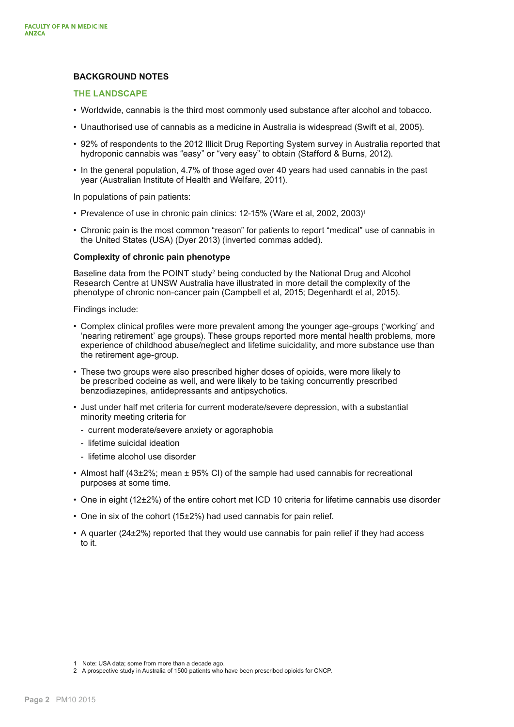### **BACKGROUND NOTES**

### **THE LANDSCAPE**

- Worldwide, cannabis is the third most commonly used substance after alcohol and tobacco.
- Unauthorised use of cannabis as a medicine in Australia is widespread (Swift et al, 2005).
- 92% of respondents to the 2012 Illicit Drug Reporting System survey in Australia reported that hydroponic cannabis was "easy" or "very easy" to obtain (Stafford & Burns, 2012).
- In the general population, 4.7% of those aged over 40 years had used cannabis in the past year (Australian Institute of Health and Welfare, 2011).

In populations of pain patients:

- Prevalence of use in chronic pain clinics: 12-15% (Ware et al, 2002, 2003)<sup>1</sup>
- Chronic pain is the most common "reason" for patients to report "medical" use of cannabis in the United States (USA) (Dyer 2013) (inverted commas added).

### **Complexity of chronic pain phenotype**

Baseline data from the POINT study<sup>2</sup> being conducted by the National Drug and Alcohol Research Centre at UNSW Australia have illustrated in more detail the complexity of the phenotype of chronic non-cancer pain (Campbell et al, 2015; Degenhardt et al, 2015).

Findings include:

- Complex clinical profiles were more prevalent among the younger age-groups ('working' and 'nearing retirement' age groups). These groups reported more mental health problems, more experience of childhood abuse/neglect and lifetime suicidality, and more substance use than the retirement age-group.
- These two groups were also prescribed higher doses of opioids, were more likely to be prescribed codeine as well, and were likely to be taking concurrently prescribed benzodiazepines, antidepressants and antipsychotics.
- Just under half met criteria for current moderate/severe depression, with a substantial minority meeting criteria for
	- current moderate/severe anxiety or agoraphobia
	- lifetime suicidal ideation
	- lifetime alcohol use disorder
- Almost half (43±2%; mean ± 95% CI) of the sample had used cannabis for recreational purposes at some time.
- One in eight (12±2%) of the entire cohort met ICD 10 criteria for lifetime cannabis use disorder
- One in six of the cohort (15±2%) had used cannabis for pain relief.
- A quarter (24±2%) reported that they would use cannabis for pain relief if they had access to it.

<sup>1</sup> Note: USA data; some from more than a decade ago.

<sup>2</sup> A prospective study in Australia of 1500 patients who have been prescribed opioids for CNCP.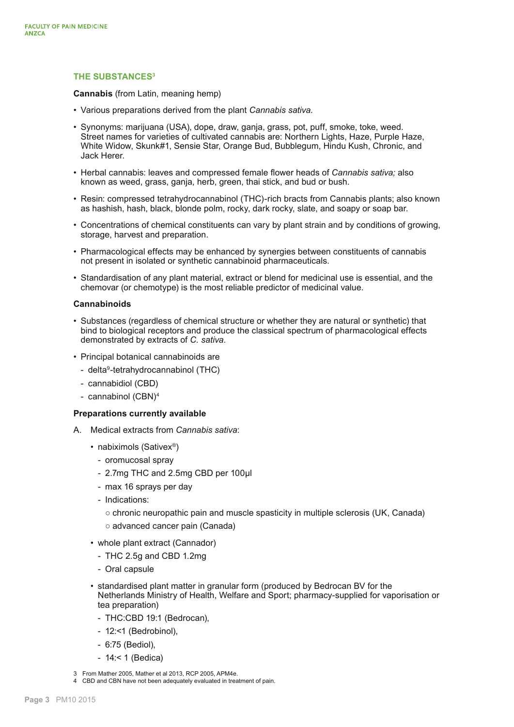### **THE SUBSTANCES3**

**Cannabis** (from Latin, meaning hemp)

- Various preparations derived from the plant *Cannabis sativa.*
- Synonyms: marijuana (USA), dope, draw, ganja, grass, pot, puff, smoke, toke, weed. Street names for varieties of cultivated cannabis are: Northern Lights, Haze, Purple Haze, White Widow, Skunk#1, Sensie Star, Orange Bud, Bubblegum, Hindu Kush, Chronic, and Jack Herer.
- Herbal cannabis: leaves and compressed female flower heads of *Cannabis sativa;* also known as weed, grass, ganja, herb, green, thai stick, and bud or bush.
- Resin: compressed tetrahydrocannabinol (THC)-rich bracts from Cannabis plants; also known as hashish, hash, black, blonde polm, rocky, dark rocky, slate, and soapy or soap bar.
- Concentrations of chemical constituents can vary by plant strain and by conditions of growing, storage, harvest and preparation.
- Pharmacological effects may be enhanced by synergies between constituents of cannabis not present in isolated or synthetic cannabinoid pharmaceuticals.
- Standardisation of any plant material, extract or blend for medicinal use is essential, and the chemovar (or chemotype) is the most reliable predictor of medicinal value.

#### **Cannabinoids**

- Substances (regardless of chemical structure or whether they are natural or synthetic) that bind to biological receptors and produce the classical spectrum of pharmacological effects demonstrated by extracts of *C. sativa*.
- Principal botanical cannabinoids are
	- delta<sup>9</sup>-tetrahydrocannabinol (THC)
	- cannabidiol (CBD)
	- cannabinol (CBN)4

### **Preparations currently available**

- A. Medical extracts from *Cannabis sativa*:
	- nabiximols (Sativex<sup>®</sup>)
		- oromucosal spray
		- 2.7mg THC and 2.5mg CBD per 100µl
		- max 16 sprays per day
		- Indications:
			- chronic neuropathic pain and muscle spasticity in multiple sclerosis (UK, Canada)
			- advanced cancer pain (Canada)
	- whole plant extract (Cannador)
		- THC 2.5g and CBD 1.2mg
		- Oral capsule
	- standardised plant matter in granular form (produced by Bedrocan BV for the Netherlands Ministry of Health, Welfare and Sport; pharmacy-supplied for vaporisation or tea preparation)
		- THC:CBD 19:1 (Bedrocan),
		- 12:<1 (Bedrobinol),
		- 6:75 (Bediol),
		- 14:< 1 (Bedica)
- 3 From Mather 2005, Mather et al 2013, RCP 2005, APM4e.
- 4 CBD and CBN have not been adequately evaluated in treatment of pain.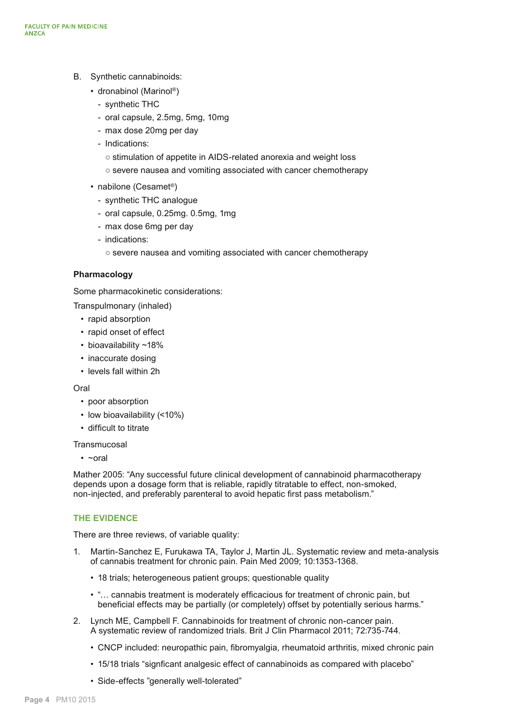- B. Synthetic cannabinoids:
	- dronabinol (Marinol®)
		- synthetic THC
		- oral capsule, 2.5mg, 5mg, 10mg
		- max dose 20mg per day
		- Indications:
			- stimulation of appetite in AIDS-related anorexia and weight loss
			- severe nausea and vomiting associated with cancer chemotherapy
	- nabilone (Cesamet®)
		- synthetic THC analogue
		- oral capsule, 0.25mg. 0.5mg, 1mg
		- max dose 6mg per day
		- indications:
			- severe nausea and vomiting associated with cancer chemotherapy

### **Pharmacology**

Some pharmacokinetic considerations:

Transpulmonary (inhaled)

- rapid absorption
- rapid onset of effect
- bioavailability ~18%
- inaccurate dosing
- levels fall within 2h

### Oral

- poor absorption
- low bioavailability (<10%)
- difficult to titrate

**Transmucosal** 

• ~oral

Mather 2005: "Any successful future clinical development of cannabinoid pharmacotherapy depends upon a dosage form that is reliable, rapidly titratable to effect, non-smoked, non-injected, and preferably parenteral to avoid hepatic first pass metabolism."

### **THE EVIDENCE**

There are three reviews, of variable quality:

- 1. Martin-Sanchez E, Furukawa TA, Taylor J, Martin JL. Systematic review and meta-analysis of cannabis treatment for chronic pain. Pain Med 2009; 10:1353-1368.
	- 18 trials; heterogeneous patient groups; questionable quality
	- "… cannabis treatment is moderately efficacious for treatment of chronic pain, but beneficial effects may be partially (or completely) offset by potentially serious harms."
- 2. Lynch ME, Campbell F. Cannabinoids for treatment of chronic non-cancer pain. A systematic review of randomized trials. Brit J Clin Pharmacol 2011; 72:735-744.
	- CNCP included: neuropathic pain, fibromyalgia, rheumatoid arthritis, mixed chronic pain
	- 15/18 trials "signficant analgesic effect of cannabinoids as compared with placebo"
	- Side-effects "generally well-tolerated"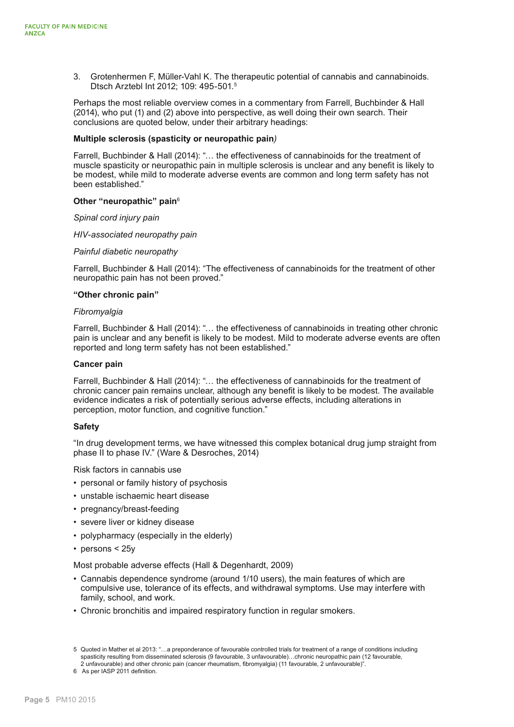3. Grotenhermen F, Müller-Vahl K. The therapeutic potential of cannabis and cannabinoids. Dtsch Arztebl Int 2012; 109: 495-501.5

Perhaps the most reliable overview comes in a commentary from Farrell, Buchbinder & Hall (2014), who put (1) and (2) above into perspective, as well doing their own search. Their conclusions are quoted below, under their arbitrary headings:

### **Multiple sclerosis (spasticity or neuropathic pain***)*

Farrell, Buchbinder & Hall (2014): "… the effectiveness of cannabinoids for the treatment of muscle spasticity or neuropathic pain in multiple sclerosis is unclear and any benefit is likely to be modest, while mild to moderate adverse events are common and long term safety has not been established."

#### **Other "neuropathic" pain**<sup>6</sup>

*Spinal cord injury pain*

*HIV-associated neuropathy pain*

*Painful diabetic neuropathy*

Farrell, Buchbinder & Hall (2014): "The effectiveness of cannabinoids for the treatment of other neuropathic pain has not been proved."

#### **"Other chronic pain"**

#### *Fibromyalgia*

Farrell, Buchbinder & Hall (2014): "… the effectiveness of cannabinoids in treating other chronic pain is unclear and any benefit is likely to be modest. Mild to moderate adverse events are often reported and long term safety has not been established."

#### **Cancer pain**

Farrell, Buchbinder & Hall (2014): "… the effectiveness of cannabinoids for the treatment of chronic cancer pain remains unclear, although any benefit is likely to be modest. The available evidence indicates a risk of potentially serious adverse effects, including alterations in perception, motor function, and cognitive function."

### **Safety**

"In drug development terms, we have witnessed this complex botanical drug jump straight from phase II to phase IV." (Ware & Desroches, 2014)

Risk factors in cannabis use

- personal or family history of psychosis
- unstable ischaemic heart disease
- pregnancy/breast-feeding
- severe liver or kidney disease
- polypharmacy (especially in the elderly)
- persons < 25y

Most probable adverse effects (Hall & Degenhardt, 2009)

- Cannabis dependence syndrome (around 1/10 users), the main features of which are compulsive use, tolerance of its effects, and withdrawal symptoms. Use may interfere with family, school, and work.
- Chronic bronchitis and impaired respiratory function in regular smokers.

<sup>5</sup> Quoted in Mather et al 2013: "…a preponderance of favourable controlled trials for treatment of a range of conditions including spasticity resulting from disseminated sclerosis (9 favourable, 3 unfavourable)...chronic neuropathic pain (12 favourable,

<sup>2</sup> unfavourable) and other chronic pain (cancer rheumatism, fibromyalgia) (11 favourable, 2 unfavourable)".

<sup>6</sup> As per IASP 2011 definition.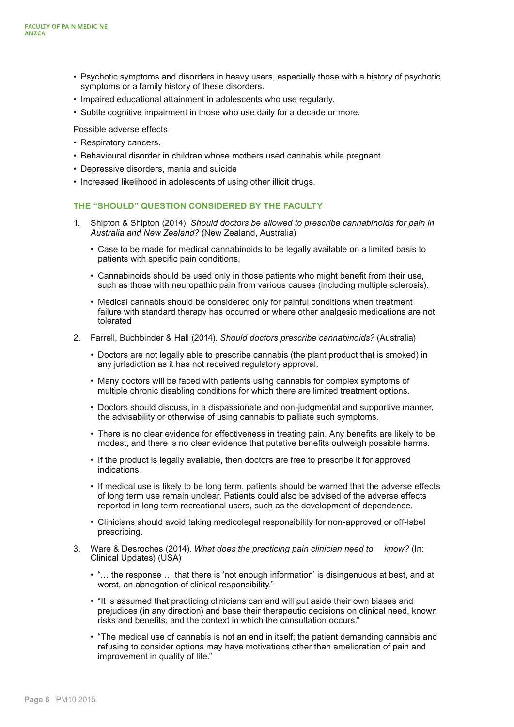- Psychotic symptoms and disorders in heavy users, especially those with a history of psychotic symptoms or a family history of these disorders.
- Impaired educational attainment in adolescents who use regularly.
- Subtle cognitive impairment in those who use daily for a decade or more.

Possible adverse effects

- Respiratory cancers.
- Behavioural disorder in children whose mothers used cannabis while pregnant.
- Depressive disorders, mania and suicide
- Increased likelihood in adolescents of using other illicit drugs.

### **THE "SHOULD" QUESTION CONSIDERED BY THE FACULTY**

- 1. Shipton & Shipton (2014). *Should doctors be allowed to prescribe cannabinoids for pain in Australia and New Zealand?* (New Zealand, Australia)
	- Case to be made for medical cannabinoids to be legally available on a limited basis to patients with specific pain conditions.
	- Cannabinoids should be used only in those patients who might benefit from their use, such as those with neuropathic pain from various causes (including multiple sclerosis).
	- Medical cannabis should be considered only for painful conditions when treatment failure with standard therapy has occurred or where other analgesic medications are not tolerated
- 2. Farrell, Buchbinder & Hall (2014). *Should doctors prescribe cannabinoids?* (Australia)
	- Doctors are not legally able to prescribe cannabis (the plant product that is smoked) in any jurisdiction as it has not received regulatory approval.
	- Many doctors will be faced with patients using cannabis for complex symptoms of multiple chronic disabling conditions for which there are limited treatment options.
	- Doctors should discuss, in a dispassionate and non-judgmental and supportive manner, the advisability or otherwise of using cannabis to palliate such symptoms.
	- There is no clear evidence for effectiveness in treating pain. Any benefits are likely to be modest, and there is no clear evidence that putative benefits outweigh possible harms.
	- If the product is legally available, then doctors are free to prescribe it for approved indications.
	- If medical use is likely to be long term, patients should be warned that the adverse effects of long term use remain unclear. Patients could also be advised of the adverse effects reported in long term recreational users, such as the development of dependence.
	- Clinicians should avoid taking medicolegal responsibility for non-approved or off-label prescribing.
- 3. Ware & Desroches (2014). *What does the practicing pain clinician need to know?* (In: Clinical Updates) (USA)
	- "… the response … that there is 'not enough information' is disingenuous at best, and at worst, an abnegation of clinical responsibility."
	- "It is assumed that practicing clinicians can and will put aside their own biases and prejudices (in any direction) and base their therapeutic decisions on clinical need, known risks and benefits, and the context in which the consultation occurs."
	- "The medical use of cannabis is not an end in itself; the patient demanding cannabis and refusing to consider options may have motivations other than amelioration of pain and improvement in quality of life."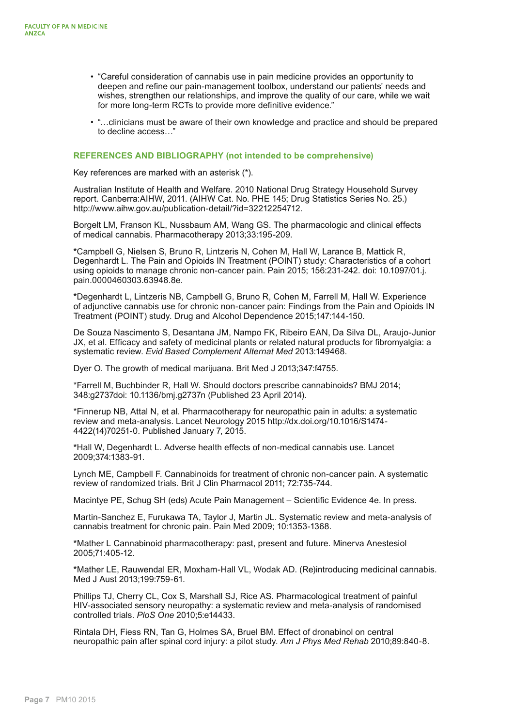- "Careful consideration of cannabis use in pain medicine provides an opportunity to deepen and refine our pain-management toolbox, understand our patients' needs and wishes, strengthen our relationships, and improve the quality of our care, while we wait for more long-term RCTs to provide more definitive evidence."
- "…clinicians must be aware of their own knowledge and practice and should be prepared to decline access…"

### **REFERENCES AND BIBLIOGRAPHY (not intended to be comprehensive)**

Key references are marked with an asterisk (\*).

Australian Institute of Health and Welfare. 2010 National Drug Strategy Household Survey report. Canberra:AIHW, 2011. (AIHW Cat. No. PHE 145; Drug Statistics Series No. 25.) [http://www.aihw.gov.au/publication-detail/?id=32212254712.](http://www.aihw.gov.au/publication-detail/?id=32212254712)

Borgelt LM, Franson KL, Nussbaum AM, Wang GS. The pharmacologic and clinical effects of medical cannabis. Pharmacotherapy 2013;33:195-209.

**\***Campbell G, Nielsen S, Bruno R, Lintzeris N, Cohen M, Hall W, Larance B, Mattick R, Degenhardt L. The Pain and Opioids IN Treatment (POINT) study: Characteristics of a cohort using opioids to manage chronic non-cancer pain. Pain 2015; 156:231-242. doi: 10.1097/01.j. pain.0000460303.63948.8e.

**\***Degenhardt L, Lintzeris NB, Campbell G, Bruno R, Cohen M, Farrell M, Hall W. Experience of adjunctive cannabis use for chronic non-cancer pain: Findings from the Pain and Opioids IN Treatment (POINT) study. Drug and Alcohol Dependence 2015;147:144-150.

De Souza Nascimento S, Desantana JM, Nampo FK, Ribeiro EAN, Da Silva DL, Araujo-Junior JX, et al. Efficacy and safety of medicinal plants or related natural products for fibromyalgia: a systematic review. *Evid Based Complement Alternat Med* 2013:149468.

Dyer O. The growth of medical marijuana. Brit Med J 2013;347:f4755.

\*Farrell M, Buchbinder R, Hall W. Should doctors prescribe cannabinoids? BMJ 2014; 348:g2737doi: 10.1136/bmj.g2737n (Published 23 April 2014).

\*Finnerup NB, Attal N, et al. Pharmacotherapy for neuropathic pain in adults: a systematic review and meta-analysis. Lancet Neurology 2015 [http://dx.doi.org/10.1016/S1474-](http://dx.doi.org/10.1016/S1474-4422(14)70251-0) [4422\(14\)70251-0.](http://dx.doi.org/10.1016/S1474-4422(14)70251-0) Published January 7, 2015.

**\***Hall W, Degenhardt L. Adverse health effects of non-medical cannabis use. Lancet 2009;374:1383-91.

Lynch ME, Campbell F. Cannabinoids for treatment of chronic non-cancer pain. A systematic review of randomized trials. Brit J Clin Pharmacol 2011; 72:735-744.

Macintye PE, Schug SH (eds) Acute Pain Management – Scientific Evidence 4e. In press.

Martin-Sanchez E, Furukawa TA, Taylor J, Martin JL. Systematic review and meta-analysis of cannabis treatment for chronic pain. Pain Med 2009; 10:1353-1368.

**\***Mather L Cannabinoid pharmacotherapy: past, present and future. Minerva Anestesiol 2005;71:405-12.

**\***Mather LE, Rauwendal ER, Moxham-Hall VL, Wodak AD. (Re)introducing medicinal cannabis. Med J Aust 2013;199:759-61.

Phillips TJ, Cherry CL, Cox S, Marshall SJ, Rice AS. Pharmacological treatment of painful HIV-associated sensory neuropathy: a systematic review and meta-analysis of randomised controlled trials. *PloS One* 2010;5:e14433.

Rintala DH, Fiess RN, Tan G, Holmes SA, Bruel BM. Effect of dronabinol on central neuropathic pain after spinal cord injury: a pilot study. *Am J Phys Med Rehab* 2010;89:840-8.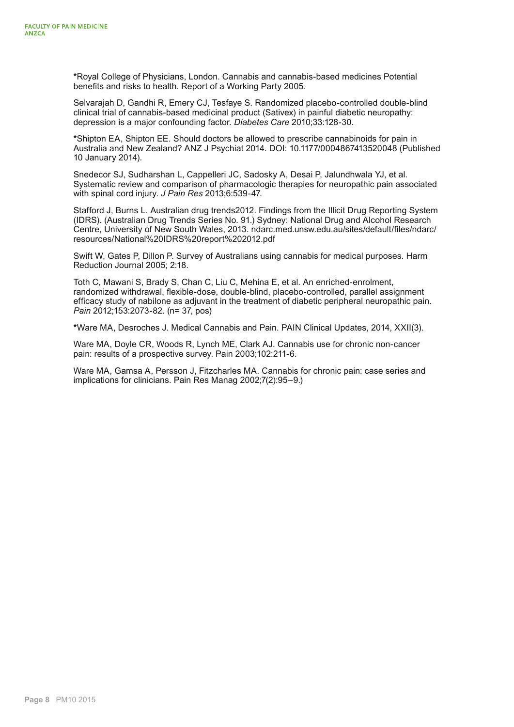**\***Royal College of Physicians, London. Cannabis and cannabis-based medicines Potential benefits and risks to health. Report of a Working Party 2005.

Selvarajah D, Gandhi R, Emery CJ, Tesfaye S. Randomized placebo-controlled double-blind clinical trial of cannabis-based medicinal product (Sativex) in painful diabetic neuropathy: depression is a major confounding factor. *Diabetes Care* 2010;33:128-30.

**\***Shipton EA, Shipton EE. Should doctors be allowed to prescribe cannabinoids for pain in Australia and New Zealand? ANZ J Psychiat 2014. DOI: 10.1177/0004867413520048 (Published 10 January 2014).

Snedecor SJ, Sudharshan L, Cappelleri JC, Sadosky A, Desai P, Jalundhwala YJ, et al. Systematic review and comparison of pharmacologic therapies for neuropathic pain associated with spinal cord injury. *J Pain Res* 2013;6:539-47.

Stafford J, Burns L. Australian drug trends2012. Findings from the Illicit Drug Reporting System (IDRS). (Australian Drug Trends Series No. 91.) Sydney: National Drug and Alcohol Research Centre, University of New South Wales, 2013. [ndarc.med.unsw.edu.au/sites/default/files/ndarc/](http://ndarc.med.unsw.edu.au/sites/default/files/ndarc/resources/National%20IDRS%20report%202012.pdf) [resources/National%20IDRS%20report%202012.pdf](http://ndarc.med.unsw.edu.au/sites/default/files/ndarc/resources/National%20IDRS%20report%202012.pdf)

Swift W, Gates P, Dillon P. Survey of Australians using cannabis for medical purposes. Harm Reduction Journal 2005; 2:18.

Toth C, Mawani S, Brady S, Chan C, Liu C, Mehina E, et al. An enriched-enrolment, randomized withdrawal, flexible-dose, double-blind, placebo-controlled, parallel assignment efficacy study of nabilone as adjuvant in the treatment of diabetic peripheral neuropathic pain. *Pain* 2012;153:2073-82. (n= 37, pos)

**\***Ware MA, Desroches J. Medical Cannabis and Pain. PAIN Clinical Updates, 2014, XXII(3).

Ware MA, Doyle CR, Woods R, Lynch ME, Clark AJ. Cannabis use for chronic non-cancer pain: results of a prospective survey. Pain 2003;102:211-6.

Ware MA, Gamsa A, Persson J, Fitzcharles MA. Cannabis for chronic pain: case series and implications for clinicians. Pain Res Manag 2002;7(2):95–9.)